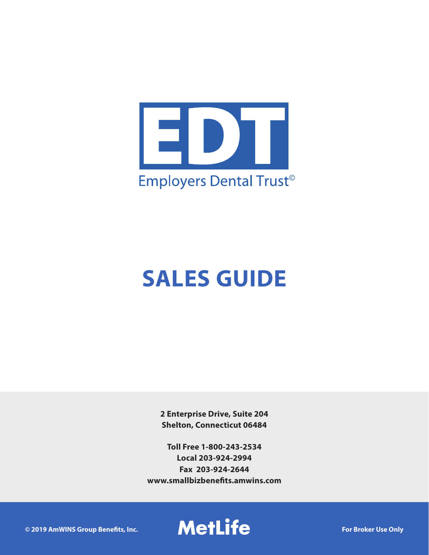

# **SALES GUIDE**

**2 Enterprise Drive, Suite 204 Shelton, Connecticut 06484**

**Toll Free 1-800-243-2534 Local 203-924-2994 Fax 203-924-2644 www.smallbizbenefits.amwins.com**

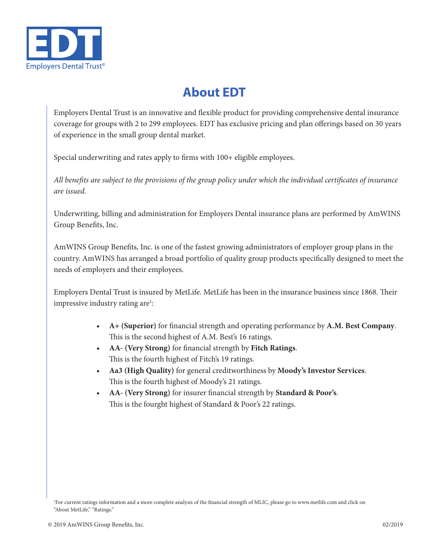

### **About EDT**

Employers Dental Trust is an innovative and flexible product for providing comprehensive dental insurance coverage for groups with 2 to 299 employees. EDT has exclusive pricing and plan offerings based on 30 years of experience in the small group dental market.

Special underwriting and rates apply to firms with 100+ eligible employees.

*All benefits are subject to the provisions of the group policy under which the individual certificates of insurance are issued.*

Underwriting, billing and administration for Employers Dental insurance plans are performed by AmWINS Group Benefits, Inc.

AmWINS Group Benefits, Inc. is one of the fastest growing administrators of employer group plans in the country. AmWINS has arranged a broad portfolio of quality group products specifically designed to meet the needs of employers and their employees.

Employers Dental Trust is insured by MetLife. MetLife has been in the insurance business since 1868. Their impressive industry rating are<sup>1</sup>:

- **• A+ (Superior)** for financial strength and operating performance by **A.M. Best Company**. This is the second highest of A.M. Best's 16 ratings.
- **• AA- (Very Strong)** for financial strength by **Fitch Ratings**. This is the fourth highest of Fitch's 19 ratings.
- **• Aa3 (High Quality)** for general creditworthiness by **Moody's Investor Services**. This is the fourth highest of Moody's 21 ratings.
- **• AA- (Very Strong)** for insurer financial strength by **Standard & Poor's**. This is the fourght highest of Standard & Poor's 22 ratings.

<sup>1</sup> For current ratings information and a more complete analysis of the financial strength of MLIC, please go to www.metlife.com and click on "About MetLife," "Ratings."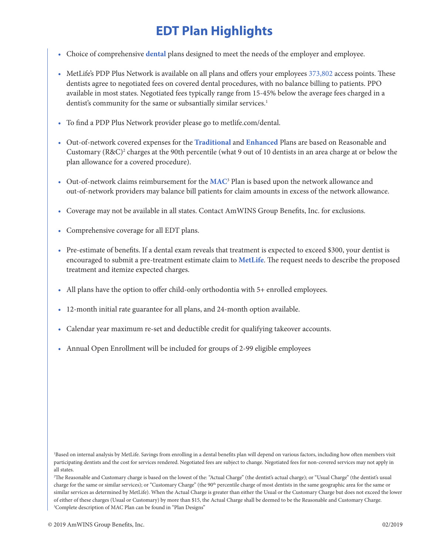# **EDT Plan Highlights**

- Choice of comprehensive **dental** plans designed to meet the needs of the employer and employee.
- MetLife's PDP Plus Network is available on all plans and offers your employees 373,802 access points. These dentists agree to negotiated fees on covered dental procedures, with no balance billing to patients. PPO available in most states. Negotiated fees typically range from 15-45% below the average fees charged in a dentist's community for the same or subsantially similar services.<sup>1</sup>
- To find a PDP Plus Network provider please go to metlife.com/dental.
- Out-of-network covered expenses for the **Traditional** and **Enhanced** Plans are based on Reasonable and Customary (R&C)<sup>2</sup> charges at the 90th percentile (what 9 out of 10 dentists in an area charge at or below the plan allowance for a covered procedure).
- Out-of-network claims reimbursement for the **MAC**<sup>3</sup> Plan is based upon the network allowance and out-of-network providers may balance bill patients for claim amounts in excess of the network allowance.
- Coverage may not be available in all states. Contact AmWINS Group Benefits, Inc. for exclusions.
- Comprehensive coverage for all EDT plans.
- Pre-estimate of benefits. If a dental exam reveals that treatment is expected to exceed \$300, your dentist is encouraged to submit a pre-treatment estimate claim to **MetLife**. The request needs to describe the proposed treatment and itemize expected charges.
- All plans have the option to offer child-only orthodontia with 5+ enrolled employees.
- 12-month initial rate guarantee for all plans, and 24-month option available.
- Calendar year maximum re-set and deductible credit for qualifying takeover accounts.
- Annual Open Enrollment will be included for groups of 2-99 eligible employees

1 Based on internal analysis by MetLife. Savings from enrolling in a dental benefits plan will depend on various factors, including how often members visit participating dentists and the cost for services rendered. Negotiated fees are subject to change. Negotiated fees for non-covered services may not apply in all states.

2 The Reasonable and Customary charge is based on the lowest of the: "Actual Charge" (the dentist's actual charge); or "Usual Charge" (the dentist's usual charge for the same or similar services); or "Customary Charge" (the 90<sup>th</sup> percentile charge of most dentists in the same geographic area for the same or similar services as determined by MetLife). When the Actual Charge is greater than either the Usual or the Customary Charge but does not exceed the lower of either of these charges (Usual or Customary) by more than \$15, the Actual Charge shall be deemed to be the Reasonable and Customary Charge. <sup>3</sup>Complete description of MAC Plan can be found in "Plan Designs"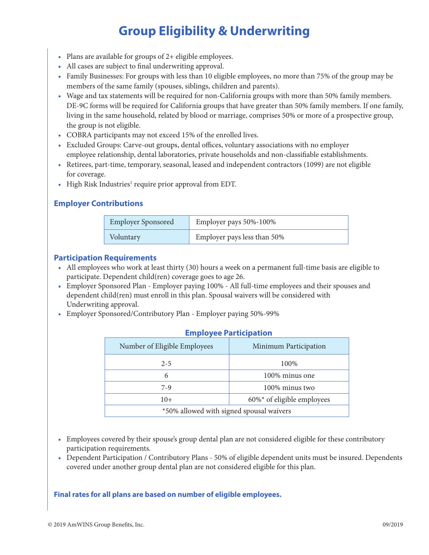# **Group Eligibility & Underwriting**

- Plans are available for groups of 2+ eligible employees.
- All cases are subject to final underwriting approval.
- Family Businesses: For groups with less than 10 eligible employees, no more than 75% of the group may be members of the same family (spouses, siblings, children and parents).
- Wage and tax statements will be required for non-California groups with more than 50% family members. DE-9C forms will be required for California groups that have greater than 50% family members. If one family, living in the same household, related by blood or marriage, comprises 50% or more of a prospective group, the group is not eligible.
- COBRA participants may not exceed 15% of the enrolled lives.
- Excluded Groups: Carve-out groups, dental offices, voluntary associations with no employer employee relationship, dental laboratories, private households and non-classifiable establishments.
- Retirees, part-time, temporary, seasonal, leased and independent contractors (1099) are not eligible for coverage.
- High Risk Industries<sup>1</sup> require prior approval from EDT.

### **Employer Contributions**

| <b>Employer Sponsored</b> | Employer pays 50%-100%      |
|---------------------------|-----------------------------|
| Voluntary                 | Employer pays less than 50% |

#### **Participation Requirements**

- All employees who work at least thirty (30) hours a week on a permanent full-time basis are eligible to participate. Dependent child(ren) coverage goes to age 26.
- Employer Sponsored Plan Employer paying 100% All full-time employees and their spouses and dependent child(ren) must enroll in this plan. Spousal waivers will be considered with Underwriting approval.
- Employer Sponsored/Contributory Plan Employer paying 50%-99%

| $\mathbf{r}$ . $\mathbf{r}$ , $\mathbf{r}$ , $\mathbf{r}$ , $\mathbf{r}$ , $\mathbf{r}$ , $\mathbf{r}$ , $\mathbf{r}$ , $\mathbf{r}$ |  |  |
|--------------------------------------------------------------------------------------------------------------------------------------|--|--|
| Minimum Participation                                                                                                                |  |  |
| 100%                                                                                                                                 |  |  |
| 100% minus one                                                                                                                       |  |  |
| 100\% minus two                                                                                                                      |  |  |
| $60\%$ * of eligible employees                                                                                                       |  |  |
| *50% allowed with signed spousal waivers                                                                                             |  |  |
|                                                                                                                                      |  |  |

### **Employee Participation**

- Employees covered by their spouse's group dental plan are not considered eligible for these contributory participation requirements.
- Dependent Participation / Contributory Plans 50% of eligible dependent units must be insured. Dependents covered under another group dental plan are not considered eligible for this plan.

#### **Final rates for all plans are based on number of eligible employees.**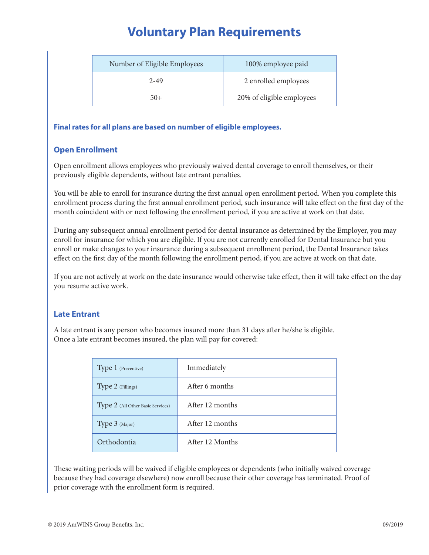### **Voluntary Plan Requirements**

| Number of Eligible Employees | 100% employee paid        |
|------------------------------|---------------------------|
| 2-49                         | 2 enrolled employees      |
| $50+$                        | 20% of eligible employees |

#### **Final rates for all plans are based on number of eligible employees.**

### **Open Enrollment**

Open enrollment allows employees who previously waived dental coverage to enroll themselves, or their previously eligible dependents, without late entrant penalties.

You will be able to enroll for insurance during the first annual open enrollment period. When you complete this enrollment process during the first annual enrollment period, such insurance will take effect on the first day of the month coincident with or next following the enrollment period, if you are active at work on that date.

During any subsequent annual enrollment period for dental insurance as determined by the Employer, you may enroll for insurance for which you are eligible. If you are not currently enrolled for Dental Insurance but you enroll or make changes to your insurance during a subsequent enrollment period, the Dental Insurance takes effect on the first day of the month following the enrollment period, if you are active at work on that date.

If you are not actively at work on the date insurance would otherwise take effect, then it will take effect on the day you resume active work.

### **Late Entrant**

A late entrant is any person who becomes insured more than 31 days after he/she is eligible. Once a late entrant becomes insured, the plan will pay for covered:

| Type 1 (Preventive)               | Immediately     |  |
|-----------------------------------|-----------------|--|
| Type 2 (Fillings)                 | After 6 months  |  |
| Type 2 (All Other Basic Services) | After 12 months |  |
| Type 3 (Major)                    | After 12 months |  |
| Orthodontia                       | After 12 Months |  |

These waiting periods will be waived if eligible employees or dependents (who initially waived coverage because they had coverage elsewhere) now enroll because their other coverage has terminated. Proof of prior coverage with the enrollment form is required.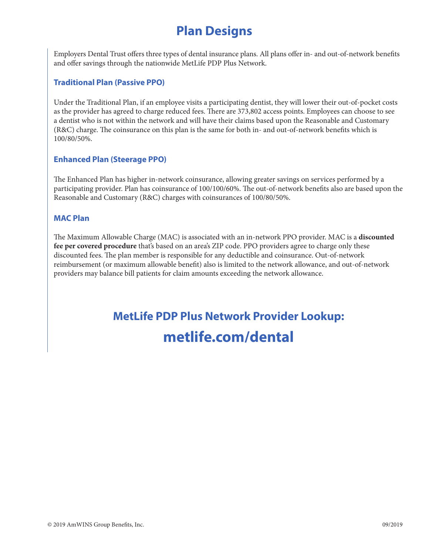### **Plan Designs**

Employers Dental Trust offers three types of dental insurance plans. All plans offer in- and out-of-network benefits and offer savings through the nationwide MetLife PDP Plus Network.

### **Traditional Plan (Passive PPO)**

Under the Traditional Plan, if an employee visits a participating dentist, they will lower their out-of-pocket costs as the provider has agreed to charge reduced fees. There are 373,802 access points. Employees can choose to see a dentist who is not within the network and will have their claims based upon the Reasonable and Customary (R&C) charge. The coinsurance on this plan is the same for both in- and out-of-network benefits which is 100/80/50%.

### **Enhanced Plan (Steerage PPO)**

The Enhanced Plan has higher in-network coinsurance, allowing greater savings on services performed by a participating provider. Plan has coinsurance of 100/100/60%. The out-of-network benefits also are based upon the Reasonable and Customary (R&C) charges with coinsurances of 100/80/50%.

### **MAC Plan**

The Maximum Allowable Charge (MAC) is associated with an in-network PPO provider. MAC is a **discounted fee per covered procedure** that's based on an area's ZIP code. PPO providers agree to charge only these discounted fees. The plan member is responsible for any deductible and coinsurance. Out-of-network reimbursement (or maximum allowable benefit) also is limited to the network allowance, and out-of-network providers may balance bill patients for claim amounts exceeding the network allowance.

# **MetLife PDP Plus Network Provider Lookup: metlife.com/dental**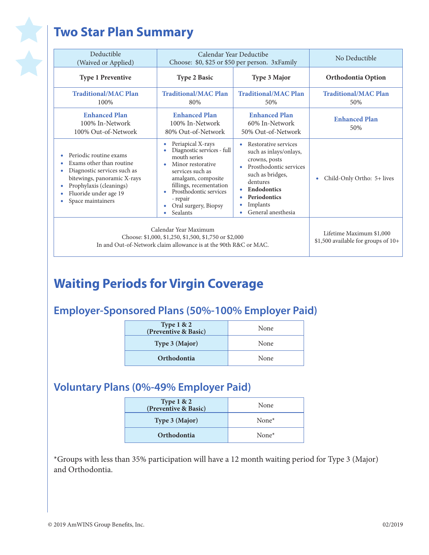# **Two Star Plan Summary**

文

| Deductible<br>(Waived or Applied)                                                                                                                                                                                | Calendar Year Deductibe<br>Choose: \$0, \$25 or \$50 per person. 3xFamily                                                                                                                                                                     |                                                                                                                                                                                                   | No Deductible                                                   |
|------------------------------------------------------------------------------------------------------------------------------------------------------------------------------------------------------------------|-----------------------------------------------------------------------------------------------------------------------------------------------------------------------------------------------------------------------------------------------|---------------------------------------------------------------------------------------------------------------------------------------------------------------------------------------------------|-----------------------------------------------------------------|
| <b>Type 1 Preventive</b>                                                                                                                                                                                         | <b>Type 2 Basic</b>                                                                                                                                                                                                                           | <b>Type 3 Major</b>                                                                                                                                                                               | <b>Orthodontia Option</b>                                       |
| <b>Traditional/MAC Plan</b><br>100%                                                                                                                                                                              | <b>Traditional/MAC Plan</b><br>80%                                                                                                                                                                                                            | <b>Traditional/MAC Plan</b><br>50%                                                                                                                                                                | <b>Traditional/MAC Plan</b><br>50%                              |
| <b>Enhanced Plan</b><br>100% In-Network<br>100% Out-of-Network                                                                                                                                                   | <b>Enhanced Plan</b><br>100% In-Network<br>80% Out-of-Network                                                                                                                                                                                 | <b>Enhanced Plan</b><br>60% In-Network<br>50% Out-of-Network                                                                                                                                      | <b>Enhanced Plan</b><br>50%                                     |
| Periodic routine exams<br>Exams other than routine<br>٠<br>Diagnostic services such as<br>bitewings, panoramic X-rays<br>Prophylaxis (cleanings)<br>$\bullet$<br>Fluoride under age 19<br>۰<br>Space maintainers | Periapical X-rays<br>Diagnostic services - full<br>mouth series<br>Minor restorative<br>٠<br>services such as<br>amalgam, composite<br>fillings, recementation<br>Prosthodontic services<br>- repair<br>Oral surgery, Biopsy<br>۰<br>Sealants | Restorative services<br>such as inlays/onlays,<br>crowns, posts<br>Prosthodontic services<br>such as bridges,<br>dentures<br><b>Endodontics</b><br>Periodontics<br>Implants<br>General anesthesia | Child-Only Ortho: 5+ lives<br>۰                                 |
| Calendar Year Maximum<br>Choose: \$1,000, \$1,250, \$1,500, \$1,750 or \$2,000<br>In and Out-of-Network claim allowance is at the 90th R&C or MAC.                                                               |                                                                                                                                                                                                                                               |                                                                                                                                                                                                   | Lifetime Maximum \$1,000<br>\$1,500 available for groups of 10+ |

### **Waiting Periods for Virgin Coverage**

### **Employer-Sponsored Plans (50%-100% Employer Paid)**

| <b>Type 1 &amp; 2</b><br>(Preventive & Basic) | None |
|-----------------------------------------------|------|
| Type 3 (Major)                                | None |
| Orthodontia                                   | None |

### **Voluntary Plans (0%-49% Employer Paid)**

| <b>Type 1 &amp; 2</b><br>(Preventive & Basic) | None     |
|-----------------------------------------------|----------|
| Type 3 (Major)                                | None $*$ |
| Orthodontia                                   | None $*$ |

\*Groups with less than 35% participation will have a 12 month waiting period for Type 3 (Major) and Orthodontia.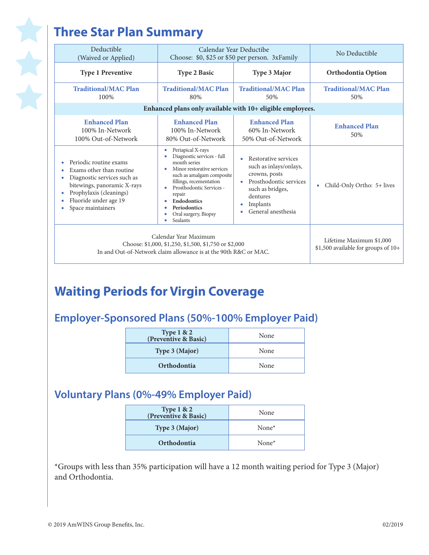# **Three Star Plan Summary**

| Deductible<br>(Waived or Applied)                                                                                                                                                                                                       | Calendar Year Deductibe<br>Choose: \$0, \$25 or \$50 per person. 3xFamily                                                                                                                                                                                                                      |                                                                                                                                                             | No Deductible                                                   |
|-----------------------------------------------------------------------------------------------------------------------------------------------------------------------------------------------------------------------------------------|------------------------------------------------------------------------------------------------------------------------------------------------------------------------------------------------------------------------------------------------------------------------------------------------|-------------------------------------------------------------------------------------------------------------------------------------------------------------|-----------------------------------------------------------------|
| <b>Type 1 Preventive</b>                                                                                                                                                                                                                | <b>Type 2 Basic</b>                                                                                                                                                                                                                                                                            | Type 3 Major                                                                                                                                                | <b>Orthodontia Option</b>                                       |
| <b>Traditional/MAC Plan</b><br>100%                                                                                                                                                                                                     | <b>Traditional/MAC Plan</b><br>80%                                                                                                                                                                                                                                                             | <b>Traditional/MAC Plan</b><br>50%                                                                                                                          | <b>Traditional/MAC Plan</b><br>50%                              |
|                                                                                                                                                                                                                                         | Enhanced plans only available with 10+ eligible employees.                                                                                                                                                                                                                                     |                                                                                                                                                             |                                                                 |
| <b>Enhanced Plan</b><br>100% In-Network<br>100% Out-of-Network                                                                                                                                                                          | <b>Enhanced Plan</b><br>100% In-Network<br>80% Out-of-Network                                                                                                                                                                                                                                  | <b>Enhanced Plan</b><br>60% In-Network<br>50% Out-of-Network                                                                                                | <b>Enhanced Plan</b><br>50%                                     |
| Periodic routine exams<br>٠<br>Exams other than routine<br>$\bullet$<br>Diagnostic services such as<br>٠<br>bitewings, panoramic X-rays<br>Prophylaxis (cleanings)<br>$\bullet$<br>Fluoride under age 19<br>٠<br>Space maintainers<br>٠ | Periapical X-rays<br>۰<br>Diagnostic services - full<br>٠<br>mouth series<br>Minor restorative services<br>such as amalgam composite<br>fillings, recementation<br>Prosthodontic Services -<br>٠<br>repair<br><b>Endodontics</b><br>٠<br>Periodontics<br>Oral surgery, Biopsy<br>٠<br>Sealants | Restorative services<br>such as inlays/onlays,<br>crowns, posts<br>Prosthodontic services<br>such as bridges,<br>dentures<br>Implants<br>General anesthesia | Child-Only Ortho: 5+ lives<br>٠                                 |
| Calendar Year Maximum<br>Choose: \$1,000, \$1,250, \$1,500, \$1,750 or \$2,000<br>In and Out-of-Network claim allowance is at the 90th R&C or MAC.                                                                                      |                                                                                                                                                                                                                                                                                                |                                                                                                                                                             | Lifetime Maximum \$1,000<br>\$1,500 available for groups of 10+ |

### **Waiting Periods for Virgin Coverage**

### **Employer-Sponsored Plans (50%-100% Employer Paid)**

| Type 1 & 2<br>(Preventive & Basic) | None |
|------------------------------------|------|
| Type 3 (Major)                     | None |
| Orthodontia                        | None |

### **Voluntary Plans (0%-49% Employer Paid)**

| None     |
|----------|
| None $*$ |
| None $*$ |
|          |

\*Groups with less than 35% participation will have a 12 month waiting period for Type 3 (Major) and Orthodontia.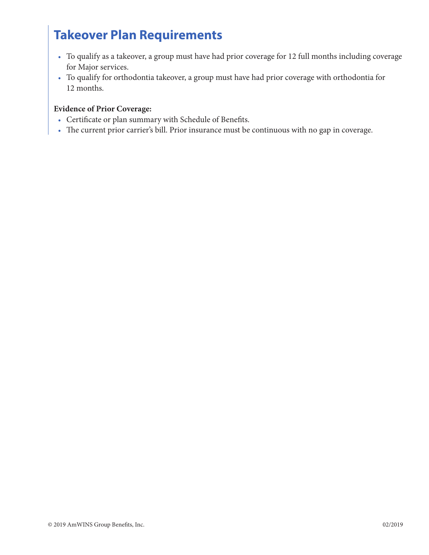### **Takeover Plan Requirements**

- To qualify as a takeover, a group must have had prior coverage for 12 full months including coverage for Major services.
- To qualify for orthodontia takeover, a group must have had prior coverage with orthodontia for 12 months.

### **Evidence of Prior Coverage:**

- Certificate or plan summary with Schedule of Benefits.
- The current prior carrier's bill. Prior insurance must be continuous with no gap in coverage.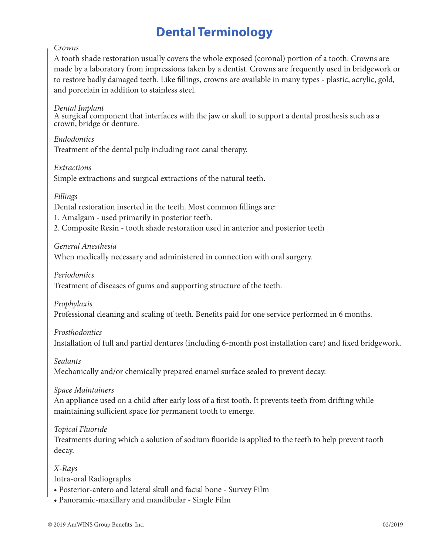### **Dental Terminology**

#### *Crowns*

A tooth shade restoration usually covers the whole exposed (coronal) portion of a tooth. Crowns are made by a laboratory from impressions taken by a dentist. Crowns are frequently used in bridgework or to restore badly damaged teeth. Like fillings, crowns are available in many types - plastic, acrylic, gold, and porcelain in addition to stainless steel.

#### *Dental Implant*

A surgical component that interfaces with the jaw or skull to support a dental prosthesis such as a crown, bridge or denture.

*Endodontics* Treatment of the dental pulp including root canal therapy.

#### *Extractions*

Simple extractions and surgical extractions of the natural teeth.

#### *Fillings*

Dental restoration inserted in the teeth. Most common fillings are:

1. Amalgam - used primarily in posterior teeth.

2. Composite Resin - tooth shade restoration used in anterior and posterior teeth

*General Anesthesia*

When medically necessary and administered in connection with oral surgery.

*Periodontics*

Treatment of diseases of gums and supporting structure of the teeth.

*Prophylaxis*

Professional cleaning and scaling of teeth. Benefits paid for one service performed in 6 months.

### *Prosthodontics*

Installation of full and partial dentures (including 6-month post installation care) and fixed bridgework.

#### *Sealants*

Mechanically and/or chemically prepared enamel surface sealed to prevent decay.

*Space Maintainers*

An appliance used on a child after early loss of a first tooth. It prevents teeth from drifting while maintaining sufficient space for permanent tooth to emerge.

*Topical Fluoride*

Treatments during which a solution of sodium fluoride is applied to the teeth to help prevent tooth decay.

*X-Rays*

Intra-oral Radiographs

- Posterior-antero and lateral skull and facial bone Survey Film
- Panoramic-maxillary and mandibular Single Film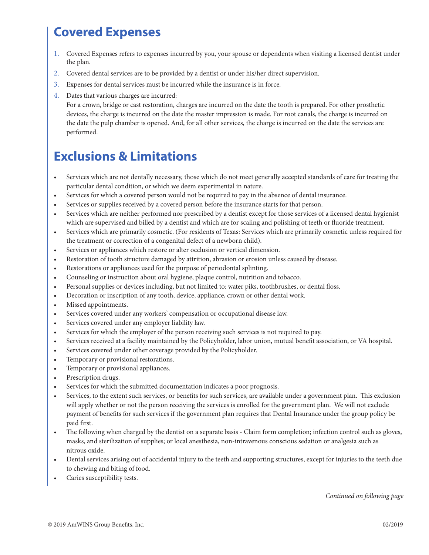### **Covered Expenses**

- 1. Covered Expenses refers to expenses incurred by you, your spouse or dependents when visiting a licensed dentist under the plan.
- 2. Covered dental services are to be provided by a dentist or under his/her direct supervision.
- 3. Expenses for dental services must be incurred while the insurance is in force.
- 4. Dates that various charges are incurred:

For a crown, bridge or cast restoration, charges are incurred on the date the tooth is prepared. For other prosthetic devices, the charge is incurred on the date the master impression is made. For root canals, the charge is incurred on the date the pulp chamber is opened. And, for all other services, the charge is incurred on the date the services are performed.

### **Exclusions & Limitations**

- Services which are not dentally necessary, those which do not meet generally accepted standards of care for treating the particular dental condition, or which we deem experimental in nature.
- Services for which a covered person would not be required to pay in the absence of dental insurance.
- Services or supplies received by a covered person before the insurance starts for that person.
- Services which are neither performed nor prescribed by a dentist except for those services of a licensed dental hygienist which are supervised and billed by a dentist and which are for scaling and polishing of teeth or fluoride treatment.
- Services which are primarily cosmetic. (For residents of Texas: Services which are primarily cosmetic unless required for the treatment or correction of a congenital defect of a newborn child).
- Services or appliances which restore or alter occlusion or vertical dimension.
- Restoration of tooth structure damaged by attrition, abrasion or erosion unless caused by disease.
- Restorations or appliances used for the purpose of periodontal splinting.
- Counseling or instruction about oral hygiene, plaque control, nutrition and tobacco.
- Personal supplies or devices including, but not limited to: water piks, toothbrushes, or dental floss.
- Decoration or inscription of any tooth, device, appliance, crown or other dental work.
- Missed appointments.
- Services covered under any workers' compensation or occupational disease law.
- Services covered under any employer liability law.
- Services for which the employer of the person receiving such services is not required to pay.
- Services received at a facility maintained by the Policyholder, labor union, mutual benefit association, or VA hospital.
- Services covered under other coverage provided by the Policyholder.
- Temporary or provisional restorations.
- Temporary or provisional appliances.
- Prescription drugs.
- Services for which the submitted documentation indicates a poor prognosis.
- Services, to the extent such services, or benefits for such services, are available under a government plan. This exclusion will apply whether or not the person receiving the services is enrolled for the government plan. We will not exclude payment of benefits for such services if the government plan requires that Dental Insurance under the group policy be paid first.
- The following when charged by the dentist on a separate basis Claim form completion; infection control such as gloves, masks, and sterilization of supplies; or local anesthesia, non-intravenous conscious sedation or analgesia such as nitrous oxide.
- Dental services arising out of accidental injury to the teeth and supporting structures, except for injuries to the teeth due to chewing and biting of food.
- Caries susceptibility tests.

*Continued on following page*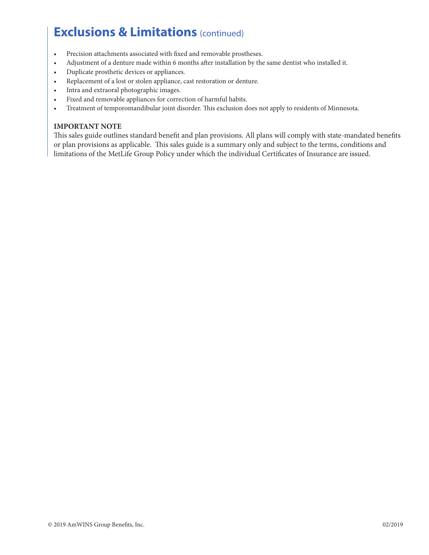### **Exclusions & Limitations** (continued)

- Precision attachments associated with fixed and removable prostheses.
- Adjustment of a denture made within 6 months after installation by the same dentist who installed it.
- Duplicate prosthetic devices or appliances.
- Replacement of a lost or stolen appliance, cast restoration or denture.
- Intra and extraoral photographic images.
- Fixed and removable appliances for correction of harmful habits.
- Treatment of temporomandibular joint disorder. This exclusion does not apply to residents of Minnesota.

#### **IMPORTANT NOTE**

This sales guide outlines standard benefit and plan provisions. All plans will comply with state-mandated benefits or plan provisions as applicable. This sales guide is a summary only and subject to the terms, conditions and limitations of the MetLife Group Policy under which the individual Certificates of Insurance are issued.